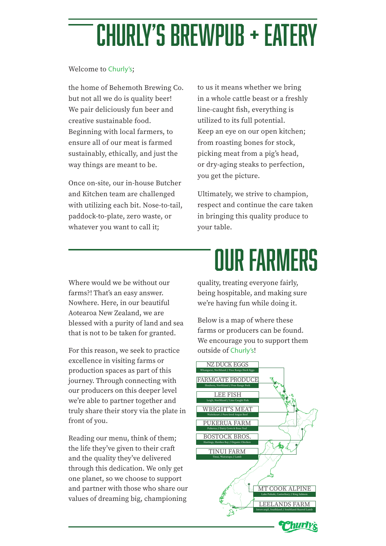# churly's brewpub + eatery

#### Welcome to Churly's;

the home of Behemoth Brewing Co. but not all we do is quality beer! We pair deliciously fun beer and creative sustainable food. Beginning with local farmers, to ensure all of our meat is farmed sustainably, ethically, and just the way things are meant to be.

Once on-site, our in-house Butcher and Kitchen team are challenged with utilizing each bit. Nose-to-tail, paddock-to-plate, zero waste, or whatever you want to call it;

to us it means whether we bring in a whole cattle beast or a freshly line-caught fish, everything is utilized to its full potential. Keep an eye on our open kitchen; from roasting bones for stock, picking meat from a pig's head, or dry-aging steaks to perfection, you get the picture.

Ultimately, we strive to champion, respect and continue the care taken in bringing this quality produce to your table.

Where would we be without our farms?! That's an easy answer. Nowhere. Here, in our beautiful Aotearoa New Zealand, we are blessed with a purity of land and sea that is not to be taken for granted.

For this reason, we seek to practice excellence in visiting farms or production spaces as part of this journey. Through connecting with our producers on this deeper level we're able to partner together and truly share their story via the plate in front of you.

Reading our menu, think of them; the life they've given to their craft and the quality they've delivered through this dedication. We only get one planet, so we choose to support and partner with those who share our values of dreaming big, championing

# our farmers

quality, treating everyone fairly, being hospitable, and making sure we're having fun while doing it.

Below is a map of where these farms or producers can be found. We encourage you to support them outside of Churly's!

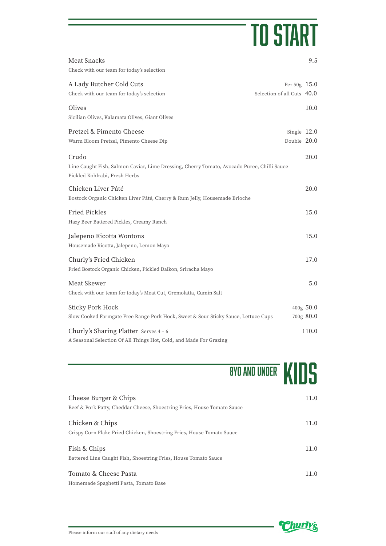## TO START

| <b>Meat Snacks</b><br>Check with our team for today's selection                                                                      |                                            | 9.5                    |
|--------------------------------------------------------------------------------------------------------------------------------------|--------------------------------------------|------------------------|
| A Lady Butcher Cold Cuts<br>Check with our team for today's selection                                                                | Per 50g 15.0<br>Selection of all Cuts 40.0 |                        |
| Olives<br>Sicilian Olives, Kalamata Olives, Giant Olives                                                                             |                                            | 10.0                   |
| Pretzel & Pimento Cheese<br>Warm Bloom Pretzel, Pimento Cheese Dip                                                                   | Single $12.0$<br>Double 20.0               |                        |
| Crudo<br>Line Caught Fish, Salmon Caviar, Lime Dressing, Cherry Tomato, Avocado Puree, Chilli Sauce<br>Pickled Kohlrabi, Fresh Herbs |                                            | 20.0                   |
| Chicken Liver Pâté<br>Bostock Organic Chicken Liver Pâté, Cherry & Rum Jelly, Housemade Brioche                                      |                                            | 20.0                   |
| <b>Fried Pickles</b><br>Hazy Beer Battered Pickles, Creamy Ranch                                                                     |                                            | 15.0                   |
| Jalepeno Ricotta Wontons<br>Housemade Ricotta, Jalepeno, Lemon Mayo                                                                  |                                            | 15.0                   |
| Churly's Fried Chicken<br>Fried Bostock Organic Chicken, Pickled Daikon, Sriracha Mayo                                               |                                            | 17.0                   |
| Meat Skewer<br>Check with our team for today's Meat Cut, Gremolatta, Cumin Salt                                                      |                                            | 5.0                    |
| <b>Sticky Pork Hock</b><br>Slow Cooked Farmgate Free Range Pork Hock, Sweet & Sour Sticky Sauce, Lettuce Cups                        |                                            | 400g 50.0<br>700g 80.0 |
| Churly's Sharing Platter Serves 4-6<br>A Seasonal Selection Of All Things Hot, Cold, and Made For Grazing                            |                                            | 110.0                  |

## **8YO AND UNDER KIDS**

| Cheese Burger & Chips<br>Beef & Pork Patty, Cheddar Cheese, Shoestring Fries, House Tomato Sauce | 11.0 |
|--------------------------------------------------------------------------------------------------|------|
| Chicken & Chips<br>Crispy Corn Flake Fried Chicken, Shoestring Fries, House Tomato Sauce         | 11.0 |
| Fish & Chips<br>Battered Line Caught Fish, Shoestring Fries, House Tomato Sauce                  | 11.0 |
| Tomato & Cheese Pasta<br>Homemade Spaghetti Pasta, Tomato Base                                   | 11.0 |

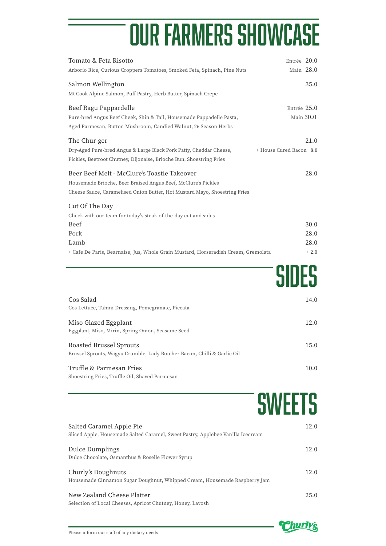# our farmers showcase

| Tomato & Feta Risotto<br>Arborio Rice, Curious Croppers Tomatoes, Smoked Feta, Spinach, Pine Nuts                                                                                              | Entrée 20.0<br>Main 28.0        |
|------------------------------------------------------------------------------------------------------------------------------------------------------------------------------------------------|---------------------------------|
| Salmon Wellington<br>Mt Cook Alpine Salmon, Puff Pastry, Herb Butter, Spinach Crepe                                                                                                            | 35.0                            |
| Beef Ragu Pappardelle<br>Pure-bred Angus Beef Cheek, Shin & Tail, Housemade Pappadelle Pasta,<br>Aged Parmesan, Button Mushroom, Candied Walnut, 26 Season Herbs                               | Entrée 25.0<br>Main 30.0        |
| The Chur-ger<br>Dry-Aged Pure-bred Angus & Large Black Pork Patty, Cheddar Cheese,<br>Pickles, Beetroot Chutney, Dijonaise, Brioche Bun, Shoestring Fries                                      | 21.0<br>+ House Cured Bacon 8.0 |
| Beer Beef Melt - McClure's Toastie Takeover<br>Housemade Brioche, Beer Braised Angus Beef, McClure's Pickles<br>Cheese Sauce, Caramelised Onion Butter, Hot Mustard Mayo, Shoestring Fries     | 28.0                            |
| Cut Of The Day<br>Check with our team for today's steak-of-the-day cut and sides<br>Beef<br>Pork<br>Lamb<br>+ Cafe De Paris, Bearnaise, Jus, Whole Grain Mustard, Horseradish Cream, Gremolata | 30.0<br>28.0<br>28.0<br>$+2.0$  |
|                                                                                                                                                                                                | SIDES                           |
| Cos Salad<br>Cos Lettuce, Tahini Dressing, Pomegranate, Piccata                                                                                                                                | 14.0                            |
| Miso Glazed Eggplant<br>Eggplant, Miso, Mirin, Spring Onion, Seasame Seed                                                                                                                      | 12.0                            |
| Roasted Brussel Sprouts<br>Brussel Sprouts, Wagyu Crumble, Lady Butcher Bacon, Chilli & Garlic Oil                                                                                             | 15.0                            |
| Truffle & Parmesan Fries<br>Shoestring Fries, Truffle Oil, Shaved Parmesan                                                                                                                     | 10.0                            |
|                                                                                                                                                                                                | SWEETS                          |
| Salted Caramel Apple Pie<br>Sliced Apple, Housemade Salted Caramel, Sweet Pastry, Applebee Vanilla Icecream                                                                                    | 12.0                            |
| Dulce Dumplings<br>Dulce Chocolate, Osmanthus & Roselle Flower Syrup                                                                                                                           | 12.0                            |
| Churly's Doughnuts<br>Housemade Cinnamon Sugar Doughnut, Whipped Cream, Housemade Raspberry Jam                                                                                                | 12.0                            |
| New Zealand Cheese Platter<br>Selection of Local Cheeses, Apricot Chutney, Honey, Lavosh                                                                                                       | 25.0                            |

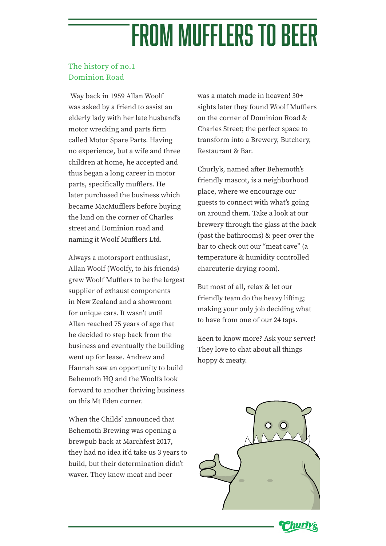## from mufflers to beer

### The history of no.1 Dominion Road

Way back in 1959 Allan Woolf was asked by a friend to assist an elderly lady with her late husband's motor wrecking and parts firm called Motor Spare Parts. Having no experience, but a wife and three children at home, he accepted and thus began a long career in motor parts, specifically mufflers. He later purchased the business which became MacMufflers before buying the land on the corner of Charles street and Dominion road and naming it Woolf Mufflers Ltd.

Always a motorsport enthusiast, Allan Woolf (Woolfy, to his friends) grew Woolf Mufflers to be the largest supplier of exhaust components in New Zealand and a showroom for unique cars. It wasn't until Allan reached 75 years of age that he decided to step back from the business and eventually the building went up for lease. Andrew and Hannah saw an opportunity to build Behemoth HQ and the Woolfs look forward to another thriving business on this Mt Eden corner.

When the Childs' announced that Behemoth Brewing was opening a brewpub back at Marchfest 2017, they had no idea it'd take us 3 years to build, but their determination didn't waver. They knew meat and beer

was a match made in heaven! 30+ sights later they found Woolf Mufflers on the corner of Dominion Road & Charles Street; the perfect space to transform into a Brewery, Butchery, Restaurant & Bar.

Churly's, named after Behemoth's friendly mascot, is a neighborhood place, where we encourage our guests to connect with what's going on around them. Take a look at our brewery through the glass at the back (past the bathrooms) & peer over the bar to check out our "meat cave" (a temperature & humidity controlled charcuterie drying room).

But most of all, relax & let our friendly team do the heavy lifting; making your only job deciding what to have from one of our 24 taps.

Keen to know more? Ask your server! They love to chat about all things hoppy & meaty.



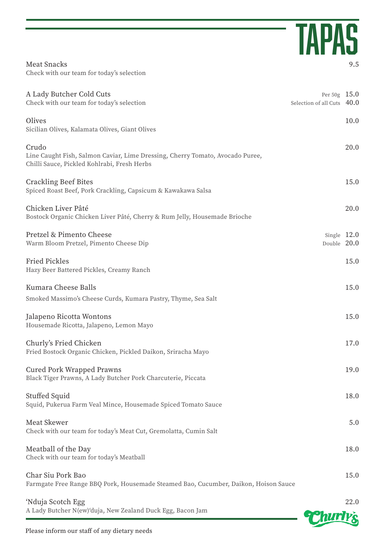|                                                                                                                                       | <b>TAPAS</b>                                 |      |
|---------------------------------------------------------------------------------------------------------------------------------------|----------------------------------------------|------|
| Meat Snacks<br>Check with our team for today's selection                                                                              |                                              | 9.5  |
| A Lady Butcher Cold Cuts<br>Check with our team for today's selection                                                                 | Per $50g$ 15.0<br>Selection of all Cuts 40.0 |      |
| Olives<br>Sicilian Olives, Kalamata Olives, Giant Olives                                                                              |                                              | 10.0 |
| Crudo<br>Line Caught Fish, Salmon Caviar, Lime Dressing, Cherry Tomato, Avocado Puree,<br>Chilli Sauce, Pickled Kohlrabi, Fresh Herbs |                                              | 20.0 |
| Crackling Beef Bites<br>Spiced Roast Beef, Pork Crackling, Capsicum & Kawakawa Salsa                                                  |                                              | 15.0 |
| Chicken Liver Pâté<br>Bostock Organic Chicken Liver Pâté, Cherry & Rum Jelly, Housemade Brioche                                       |                                              | 20.0 |
| Pretzel & Pimento Cheese<br>Warm Bloom Pretzel, Pimento Cheese Dip                                                                    | Single $12.0$<br>Double 20.0                 |      |
| Fried Pickles<br>Hazy Beer Battered Pickles, Creamy Ranch                                                                             |                                              | 15.0 |
| Kumara Cheese Balls<br>Smoked Massimo's Cheese Curds, Kumara Pastry, Thyme, Sea Salt                                                  |                                              | 15.0 |
| Jalapeno Ricotta Wontons<br>Housemade Ricotta, Jalapeno, Lemon Mayo                                                                   |                                              | 15.0 |
| Churly's Fried Chicken<br>Fried Bostock Organic Chicken, Pickled Daikon, Sriracha Mayo                                                |                                              | 17.0 |
| Cured Pork Wrapped Prawns<br>Black Tiger Prawns, A Lady Butcher Pork Charcuterie, Piccata                                             |                                              | 19.0 |
| Stuffed Squid<br>Squid, Pukerua Farm Veal Mince, Housemade Spiced Tomato Sauce                                                        |                                              | 18.0 |
| Meat Skewer<br>Check with our team for today's Meat Cut, Gremolatta, Cumin Salt                                                       |                                              | 5.0  |
| Meatball of the Day<br>Check with our team for today's Meatball                                                                       |                                              | 18.0 |
| Char Siu Pork Bao<br>Farmgate Free Range BBQ Pork, Housemade Steamed Bao, Cucumber, Daikon, Hoison Sauce                              |                                              | 15.0 |
| 'Nduja Scotch Egg                                                                                                                     |                                              | 22.0 |

A Lady Butcher N(ew)'duja, New Zealand Duck Egg, Bacon Jam

**Churly's**